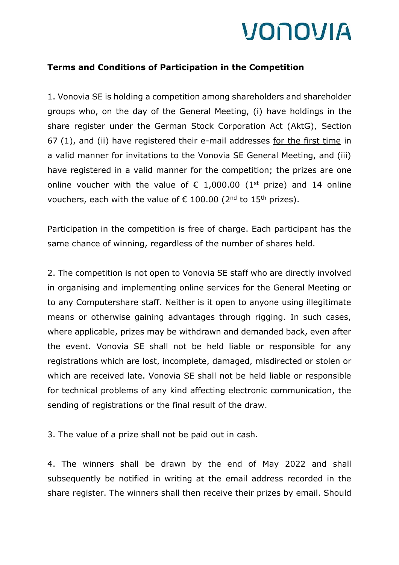

## **Terms and Conditions of Participation in the Competition**

1. Vonovia SE is holding a competition among shareholders and shareholder groups who, on the day of the General Meeting, (i) have holdings in the share register under the German Stock Corporation Act (AktG), Section 67 (1), and (ii) have registered their e-mail addresses for the first time in a valid manner for invitations to the Vonovia SE General Meeting, and (iii) have registered in a valid manner for the competition; the prizes are one online voucher with the value of  $\epsilon$  1,000.00 (1<sup>st</sup> prize) and 14 online vouchers, each with the value of  $\epsilon$  100.00 (2<sup>nd</sup> to 15<sup>th</sup> prizes).

Participation in the competition is free of charge. Each participant has the same chance of winning, regardless of the number of shares held.

2. The competition is not open to Vonovia SE staff who are directly involved in organising and implementing online services for the General Meeting or to any Computershare staff. Neither is it open to anyone using illegitimate means or otherwise gaining advantages through rigging. In such cases, where applicable, prizes may be withdrawn and demanded back, even after the event. Vonovia SE shall not be held liable or responsible for any registrations which are lost, incomplete, damaged, misdirected or stolen or which are received late. Vonovia SE shall not be held liable or responsible for technical problems of any kind affecting electronic communication, the sending of registrations or the final result of the draw.

3. The value of a prize shall not be paid out in cash.

4. The winners shall be drawn by the end of May 2022 and shall subsequently be notified in writing at the email address recorded in the share register. The winners shall then receive their prizes by email. Should